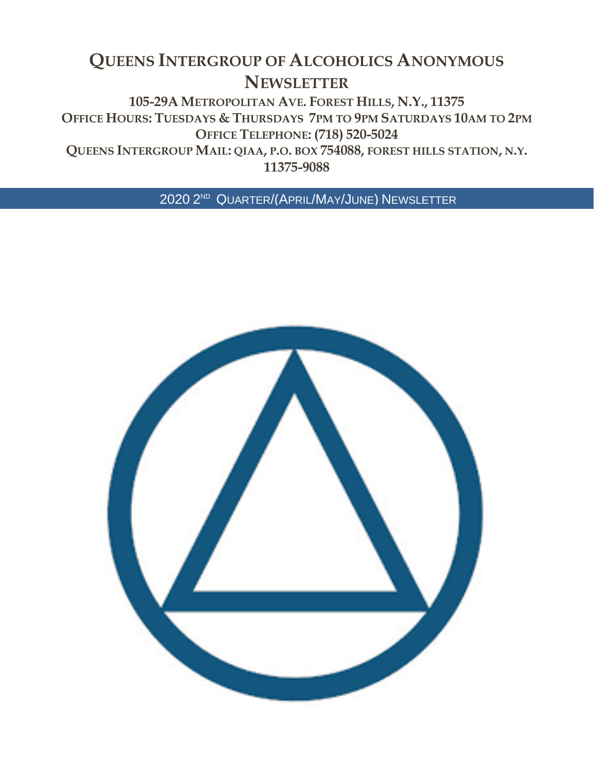# **QUEENS INTERGROUP OF ALCOHOLICS ANONYMOUS NEWSLETTER**

**105-29A METROPOLITAN AVE. FOREST HILLS, N.Y., 11375 OFFICE HOURS: TUESDAYS & THURSDAYS 7PM TO 9PM SATURDAYS 10AM TO 2PM OFFICE TELEPHONE: (718) 520-5024 QUEENS INTERGROUP MAIL: QIAA, P.O. BOX 754088, FOREST HILLS STATION, N.Y.**

**11375-9088**

2020 2 ND QUARTER/(APRIL/MAY/JUNE) NEWSLETTER

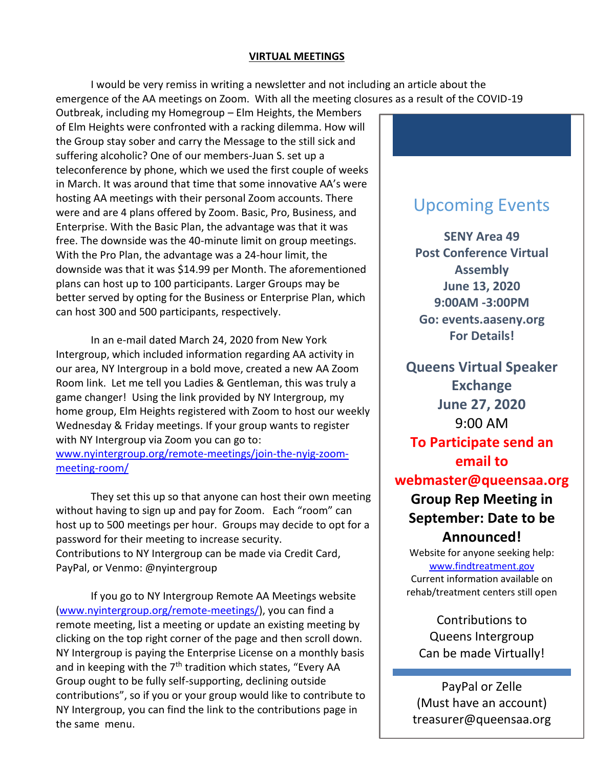#### **VIRTUAL MEETINGS**

I would be very remiss in writing a newsletter and not including an article about the emergence of the AA meetings on Zoom. With all the meeting closures as a result of the COVID-19

Outbreak, including my Homegroup – Elm Heights, the Members of Elm Heights were confronted with a racking dilemma. How will the Group stay sober and carry the Message to the still sick and suffering alcoholic? One of our members-Juan S. set up a teleconference by phone, which we used the first couple of weeks in March. It was around that time that some innovative AA's were hosting AA meetings with their personal Zoom accounts. There were and are 4 plans offered by Zoom. Basic, Pro, Business, and Enterprise. With the Basic Plan, the advantage was that it was free. The downside was the 40-minute limit on group meetings. With the Pro Plan, the advantage was a 24-hour limit, the downside was that it was \$14.99 per Month. The aforementioned plans can host up to 100 participants. Larger Groups may be better served by opting for the Business or Enterprise Plan, which can host 300 and 500 participants, respectively.

In an e-mail dated March 24, 2020 from New York Intergroup, which included information regarding AA activity in our area, NY Intergroup in a bold move, created a new AA Zoom Room link. Let me tell you Ladies & Gentleman, this was truly a game changer! Using the link provided by NY Intergroup, my home group, Elm Heights registered with Zoom to host our weekly Wednesday & Friday meetings. If your group wants to register with NY Intergroup via Zoom you can go to: [www.nyintergroup.org/remote-meetings/join-the-nyig-zoom](http://www.nyintergroup.org/remote-meetings/join-the-nyig-zoom-meeting-room/)[meeting-room/](http://www.nyintergroup.org/remote-meetings/join-the-nyig-zoom-meeting-room/)

They set this up so that anyone can host their own meeting without having to sign up and pay for Zoom. Each "room" can host up to 500 meetings per hour. Groups may decide to opt for a password for their meeting to increase security. Contributions to NY Intergroup can be made via Credit Card, PayPal, or Venmo: @nyintergroup

If you go to NY Intergroup Remote AA Meetings website [\(www.nyintergroup.org/remote-meetings/\)](http://www.nyintergroup.org/remote-meetings/), you can find a remote meeting, list a meeting or update an existing meeting by clicking on the top right corner of the page and then scroll down. NY Intergroup is paying the Enterprise License on a monthly basis and in keeping with the  $7<sup>th</sup>$  tradition which states, "Every AA Group ought to be fully self-supporting, declining outside contributions", so if you or your group would like to contribute to NY Intergroup, you can find the link to the contributions page in the same menu.

## Upcoming Events

**SENY Area 49 Post Conference Virtual Assembly June 13, 2020 9:00AM -3:00PM Go: events.aaseny.org For Details!**

**Queens Virtual Speaker Exchange June 27, 2020** 9:00 AM **To Participate send an** 

**email to** 

**webmaster@queensaa.org**

### **Group Rep Meeting in September: Date to be Announced!**

Website for anyone seeking help: [www.findtreatment.gov](http://www.findtreatment.gov/) Current information available on rehab/treatment centers still open

Contributions to Queens Intergroup Can be made Virtually!

PayPal or Zelle (Must have an account) treasurer@queensaa.org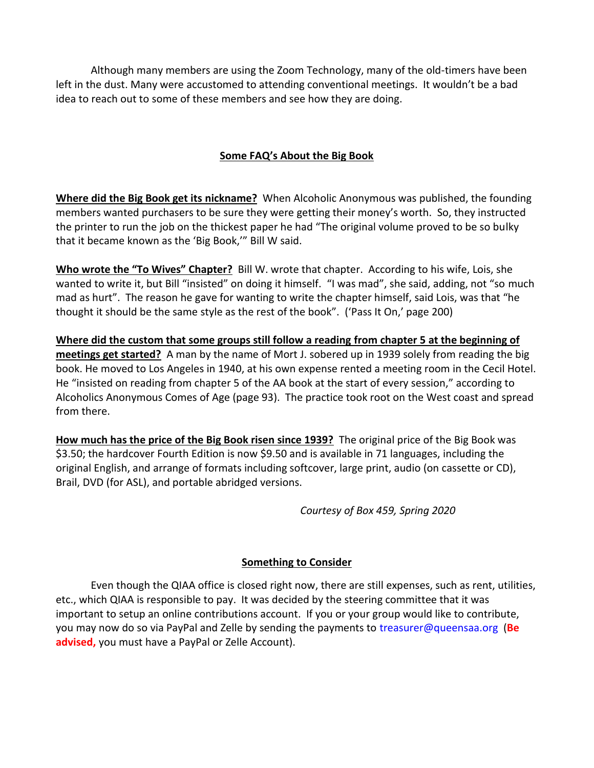Although many members are using the Zoom Technology, many of the old-timers have been left in the dust. Many were accustomed to attending conventional meetings. It wouldn't be a bad idea to reach out to some of these members and see how they are doing.

### **Some FAQ's About the Big Book**

**Where did the Big Book get its nickname?** When Alcoholic Anonymous was published, the founding members wanted purchasers to be sure they were getting their money's worth. So, they instructed the printer to run the job on the thickest paper he had "The original volume proved to be so bulky that it became known as the 'Big Book,'" Bill W said.

**Who wrote the "To Wives" Chapter?** Bill W. wrote that chapter. According to his wife, Lois, she wanted to write it, but Bill "insisted" on doing it himself. "I was mad", she said, adding, not "so much mad as hurt". The reason he gave for wanting to write the chapter himself, said Lois, was that "he thought it should be the same style as the rest of the book". ('Pass It On,' page 200)

**Where did the custom that some groups still follow a reading from chapter 5 at the beginning of meetings get started?** A man by the name of Mort J. sobered up in 1939 solely from reading the big book. He moved to Los Angeles in 1940, at his own expense rented a meeting room in the Cecil Hotel. He "insisted on reading from chapter 5 of the AA book at the start of every session," according to Alcoholics Anonymous Comes of Age (page 93). The practice took root on the West coast and spread from there.

**How much has the price of the Big Book risen since 1939?** The original price of the Big Book was \$3.50; the hardcover Fourth Edition is now \$9.50 and is available in 71 languages, including the original English, and arrange of formats including softcover, large print, audio (on cassette or CD), Brail, DVD (for ASL), and portable abridged versions.

*Courtesy of Box 459, Spring 2020*

### **Something to Consider**

Even though the QIAA office is closed right now, there are still expenses, such as rent, utilities, etc., which QIAA is responsible to pay. It was decided by the steering committee that it was important to setup an online contributions account. If you or your group would like to contribute, you may now do so via PayPal and Zelle by sending the payments to [treasurer@queensaa.org](mailto:treasurer@queensaa.org) (**Be advised,** you must have a PayPal or Zelle Account).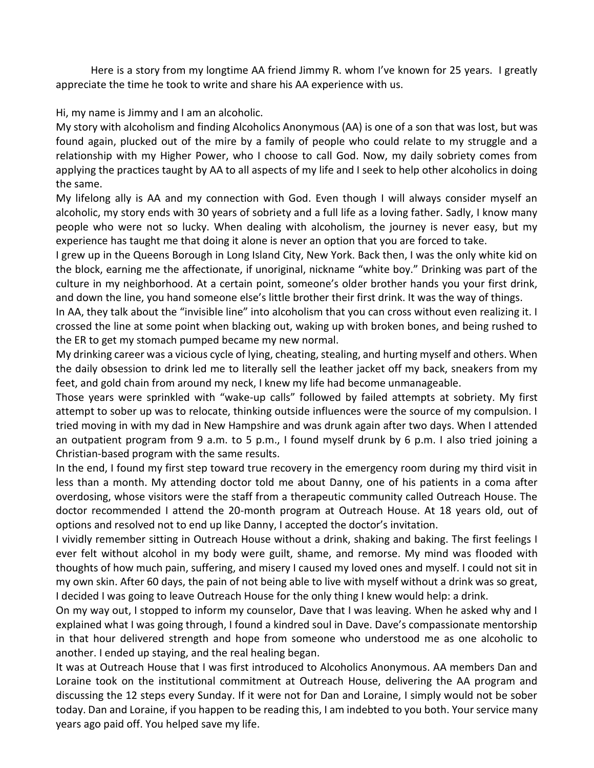Here is a story from my longtime AA friend Jimmy R. whom I've known for 25 years. I greatly appreciate the time he took to write and share his AA experience with us.

Hi, my name is Jimmy and I am an alcoholic.

My story with alcoholism and finding Alcoholics Anonymous (AA) is one of a son that was lost, but was found again, plucked out of the mire by a family of people who could relate to my struggle and a relationship with my Higher Power, who I choose to call God. Now, my daily sobriety comes from applying the practices taught by AA to all aspects of my life and I seek to help other alcoholics in doing the same.

My lifelong ally is AA and my connection with God. Even though I will always consider myself an alcoholic, my story ends with 30 years of sobriety and a full life as a loving father. Sadly, I know many people who were not so lucky. When dealing with alcoholism, the journey is never easy, but my experience has taught me that doing it alone is never an option that you are forced to take.

I grew up in the Queens Borough in Long Island City, New York. Back then, I was the only white kid on the block, earning me the affectionate, if unoriginal, nickname "white boy." Drinking was part of the culture in my neighborhood. At a certain point, someone's older brother hands you your first drink, and down the line, you hand someone else's little brother their first drink. It was the way of things.

In AA, they talk about the "invisible line" into alcoholism that you can cross without even realizing it. I crossed the line at some point when blacking out, waking up with broken bones, and being rushed to the ER to get my stomach pumped became my new normal.

My drinking career was a vicious cycle of lying, cheating, stealing, and hurting myself and others. When the daily obsession to drink led me to literally sell the leather jacket off my back, sneakers from my feet, and gold chain from around my neck, I knew my life had become unmanageable.

Those years were sprinkled with "wake-up calls" followed by failed attempts at sobriety. My first attempt to sober up was to relocate, thinking outside influences were the source of my compulsion. I tried moving in with my dad in New Hampshire and was drunk again after two days. When I attended an outpatient program from 9 a.m. to 5 p.m., I found myself drunk by 6 p.m. I also tried joining a Christian-based program with the same results.

In the end, I found my first step toward true recovery in the emergency room during my third visit in less than a month. My attending doctor told me about Danny, one of his patients in a coma after overdosing, whose visitors were the staff from a therapeutic community called Outreach House. The doctor recommended I attend the 20-month program at Outreach House. At 18 years old, out of options and resolved not to end up like Danny, I accepted the doctor's invitation.

I vividly remember sitting in Outreach House without a drink, shaking and baking. The first feelings I ever felt without alcohol in my body were guilt, shame, and remorse. My mind was flooded with thoughts of how much pain, suffering, and misery I caused my loved ones and myself. I could not sit in my own skin. After 60 days, the pain of not being able to live with myself without a drink was so great, I decided I was going to leave Outreach House for the only thing I knew would help: a drink.

On my way out, I stopped to inform my counselor, Dave that I was leaving. When he asked why and I explained what I was going through, I found a kindred soul in Dave. Dave's compassionate mentorship in that hour delivered strength and hope from someone who understood me as one alcoholic to another. I ended up staying, and the real healing began.

It was at Outreach House that I was first introduced to Alcoholics Anonymous. AA members Dan and Loraine took on the institutional commitment at Outreach House, delivering the AA program and discussing the 12 steps every Sunday. If it were not for Dan and Loraine, I simply would not be sober today. Dan and Loraine, if you happen to be reading this, I am indebted to you both. Your service many years ago paid off. You helped save my life.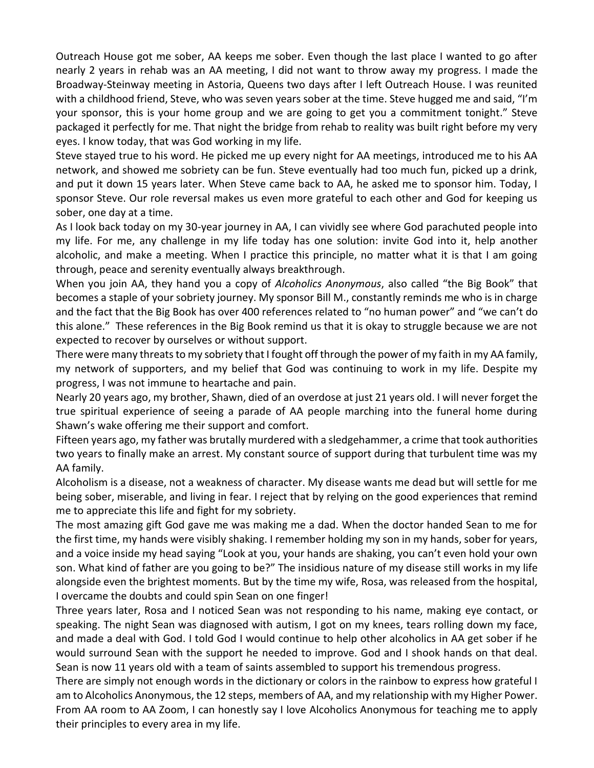Outreach House got me sober, AA keeps me sober. Even though the last place I wanted to go after nearly 2 years in rehab was an AA meeting, I did not want to throw away my progress. I made the Broadway-Steinway meeting in Astoria, Queens two days after I left Outreach House. I was reunited with a childhood friend, Steve, who was seven years sober at the time. Steve hugged me and said, "I'm your sponsor, this is your home group and we are going to get you a commitment tonight." Steve packaged it perfectly for me. That night the bridge from rehab to reality was built right before my very eyes. I know today, that was God working in my life.

Steve stayed true to his word. He picked me up every night for AA meetings, introduced me to his AA network, and showed me sobriety can be fun. Steve eventually had too much fun, picked up a drink, and put it down 15 years later. When Steve came back to AA, he asked me to sponsor him. Today, I sponsor Steve. Our role reversal makes us even more grateful to each other and God for keeping us sober, one day at a time.

As I look back today on my 30-year journey in AA, I can vividly see where God parachuted people into my life. For me, any challenge in my life today has one solution: invite God into it, help another alcoholic, and make a meeting. When I practice this principle, no matter what it is that I am going through, peace and serenity eventually always breakthrough.

When you join AA, they hand you a copy of *Alcoholics Anonymous*, also called "the Big Book" that becomes a staple of your sobriety journey. My sponsor Bill M., constantly reminds me who is in charge and the fact that the Big Book has over 400 references related to "no human power" and "we can't do this alone." These references in the Big Book remind us that it is okay to struggle because we are not expected to recover by ourselves or without support.

There were many threats to my sobriety that I fought off through the power of my faith in my AA family, my network of supporters, and my belief that God was continuing to work in my life. Despite my progress, I was not immune to heartache and pain.

Nearly 20 years ago, my brother, Shawn, died of an overdose at just 21 years old. I will never forget the true spiritual experience of seeing a parade of AA people marching into the funeral home during Shawn's wake offering me their support and comfort.

Fifteen years ago, my father was brutally murdered with a sledgehammer, a crime that took authorities two years to finally make an arrest. My constant source of support during that turbulent time was my AA family.

Alcoholism is a disease, not a weakness of character. My disease wants me dead but will settle for me being sober, miserable, and living in fear. I reject that by relying on the good experiences that remind me to appreciate this life and fight for my sobriety.

The most amazing gift God gave me was making me a dad. When the doctor handed Sean to me for the first time, my hands were visibly shaking. I remember holding my son in my hands, sober for years, and a voice inside my head saying "Look at you, your hands are shaking, you can't even hold your own son. What kind of father are you going to be?" The insidious nature of my disease still works in my life alongside even the brightest moments. But by the time my wife, Rosa, was released from the hospital, I overcame the doubts and could spin Sean on one finger!

Three years later, Rosa and I noticed Sean was not responding to his name, making eye contact, or speaking. The night Sean was diagnosed with autism, I got on my knees, tears rolling down my face, and made a deal with God. I told God I would continue to help other alcoholics in AA get sober if he would surround Sean with the support he needed to improve. God and I shook hands on that deal. Sean is now 11 years old with a team of saints assembled to support his tremendous progress.

There are simply not enough words in the dictionary or colors in the rainbow to express how grateful I am to Alcoholics Anonymous, the 12 steps, members of AA, and my relationship with my Higher Power. From AA room to AA Zoom, I can honestly say I love Alcoholics Anonymous for teaching me to apply their principles to every area in my life.